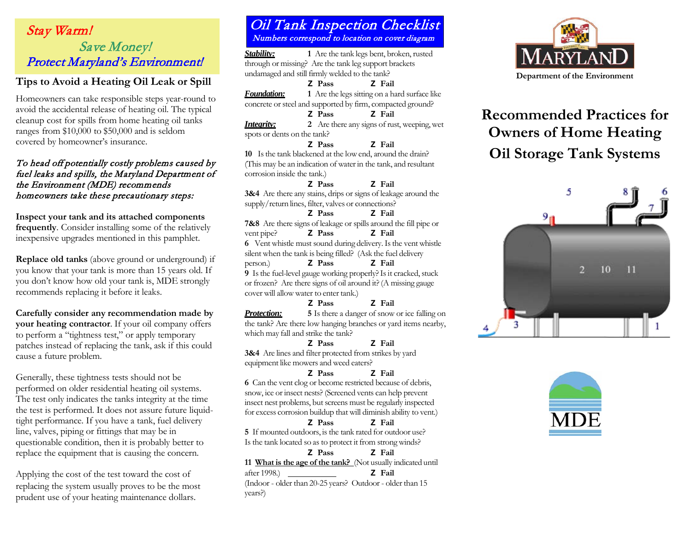## Stay Warm!<br>Numbers correspond to location on cover diagram  $\frac{\text{OIII}}{\text{Numbers}}$ Save Money! Protect Maryland's Environment!

## **Tips to Avoid a Heating Oil Leak or Spill**

Homeowners can take responsible steps year-round to avoid the accidental release of heating oil. The typical cleanup cost for spills from home heating oil tanks ranges from \$10,000 to \$50,000 and is seldom covered by homeowner's insurance.

#### To head off potentially costly problems caused by fuel leaks and spills, the Maryland Department of the Environment (MDE) recommends homeowners take these precautionary steps:

**Inspect your tank and its attached components frequently**. Consider installing some of the relatively inexpensive upgrades mentioned in this pamphlet.

**Replace old tanks** (above ground or underground) if you know that your tank is more than 15 years old. If you don't know how old your tank is, MDE strongly recommends replacing it before it leaks.

**Carefully consider any recommendation made by your heating contractor**. If your oil company offers to perform a "tightness test," or apply temporary patches instead of replacing the tank, ask if this could cause a future problem.

Generally, these tightness tests should not be performed on older residential heating oil systems. The test only indicates the tanks integrity at the time the test is performed. It does not assure future liquidtight performance. If you have a tank, fuel delivery line, valves, piping or fittings that may be in questionable condition, then it is probably better to replace the equipment that is causing the concern.

Applying the cost of the test toward the cost of after 1998.) **Z Fail** replacing the system usually proves to be the most prudent use of your heating maintenance dollars.

# Oil Tank Inspection Checklist

*Stability:* **1** Are the tank legs bent, broken, rusted through or missing? Are the tank leg support brackets undamaged and still firmly welded to the tank?

#### **Z Pass Z Fail**

*Foundation:* **1** Are the legs sitting on a hard surface like concrete or steel and supported by firm, compacted ground?

**Z Pass Z Fail**

**Integrity: 2** Are there any signs of rust, weeping, wet spots or dents on the tank?

#### **Z Pass Z Fail 10** Is the tank blackened at the low end, around the drain? (This may be an indication of waterin the tank, and resultant corrosion inside the tank.)

#### **Z Pass Z Fail**

**3&4** Are there any stains, drips or signs of leakage around the supply/return lines, filter, valves or connections?

#### **Z Pass Z Fail**

**7&8** Are there signs of leakage or spills around the fill pipe or vent pipe?<br>**Z** Pass **Z** Fail  $\vec{P}$  **Passi**  $\vec{P}$  **Passi**  $\vec{P}$ **6** Vent whistle must sound during delivery. Is the vent whistle silent when the tank is being filled? (Ask the fuel delivery

person.) **Z Pass Z Fail 9** Is the fuel-level gauge working properly? Is it cracked, stuck

or frozen? Are there signs of oil around it?(A missing gauge cover will allowwater to enter tank.)

#### **Z Pass Z Fail**

**Protection: 5** Is there a danger of snow or ice falling on the tank? Are there low hanging branches or yard items nearby, which may fall and strike the tank?

#### **Z Pass Z Fail**

**3&4** Are lines and filter protected from strikes by yard equipment like mowers and weed eaters?

#### **Z Pass Z Fail**

**6** Can the vent clog or become restricted because of debris, snow, ice or insect nests?(Screened vents can help prevent insect nest problems, but screens must be regularly inspected for excess corrosion buildup that will diminish ability to vent.)

### **Z Pass Z Fail**

**5** If mounted outdoors, is the tank rated for outdoor use? Is the tank located so as to protect it from strong winds?

#### **Z Pass Z Fail**

**11 What is the age of the tank?** (Not usually indicated until

(Indoor - older than 20-25 years? Outdoor - older than 15 years?)



# **Recommended Practices for Owners of Home Heating Oil Storage Tank Systems**